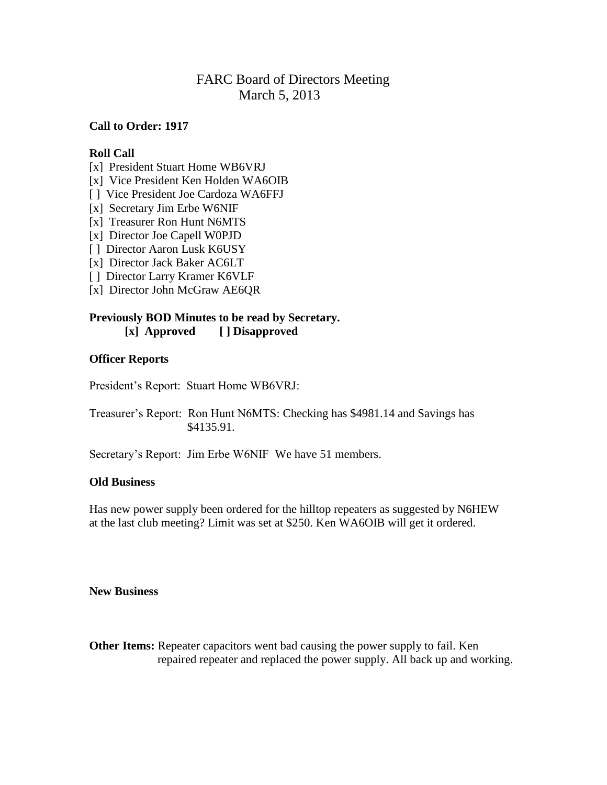# FARC Board of Directors Meeting March 5, 2013

## **Call to Order: 1917**

#### **Roll Call**

- [x] President Stuart Home WB6VRJ
- [x] Vice President Ken Holden WA6OIB
- [] Vice President Joe Cardoza WA6FFJ
- [x] Secretary Jim Erbe W6NIF
- [x] Treasurer Ron Hunt N6MTS
- [x] Director Joe Capell W0PJD
- [ ] Director Aaron Lusk K6USY
- [x] Director Jack Baker AC6LT
- [ ] Director Larry Kramer K6VLF
- [x] Director John McGraw AE6QR

#### **Previously BOD Minutes to be read by Secretary. [x] Approved [ ] Disapproved**

## **Officer Reports**

President's Report: Stuart Home WB6VRJ:

Treasurer's Report: Ron Hunt N6MTS: Checking has \$4981.14 and Savings has \$4135.91.

Secretary's Report: Jim Erbe W6NIF We have 51 members.

#### **Old Business**

Has new power supply been ordered for the hilltop repeaters as suggested by N6HEW at the last club meeting? Limit was set at \$250. Ken WA6OIB will get it ordered.

#### **New Business**

**Other Items:** Repeater capacitors went bad causing the power supply to fail. Ken repaired repeater and replaced the power supply. All back up and working.